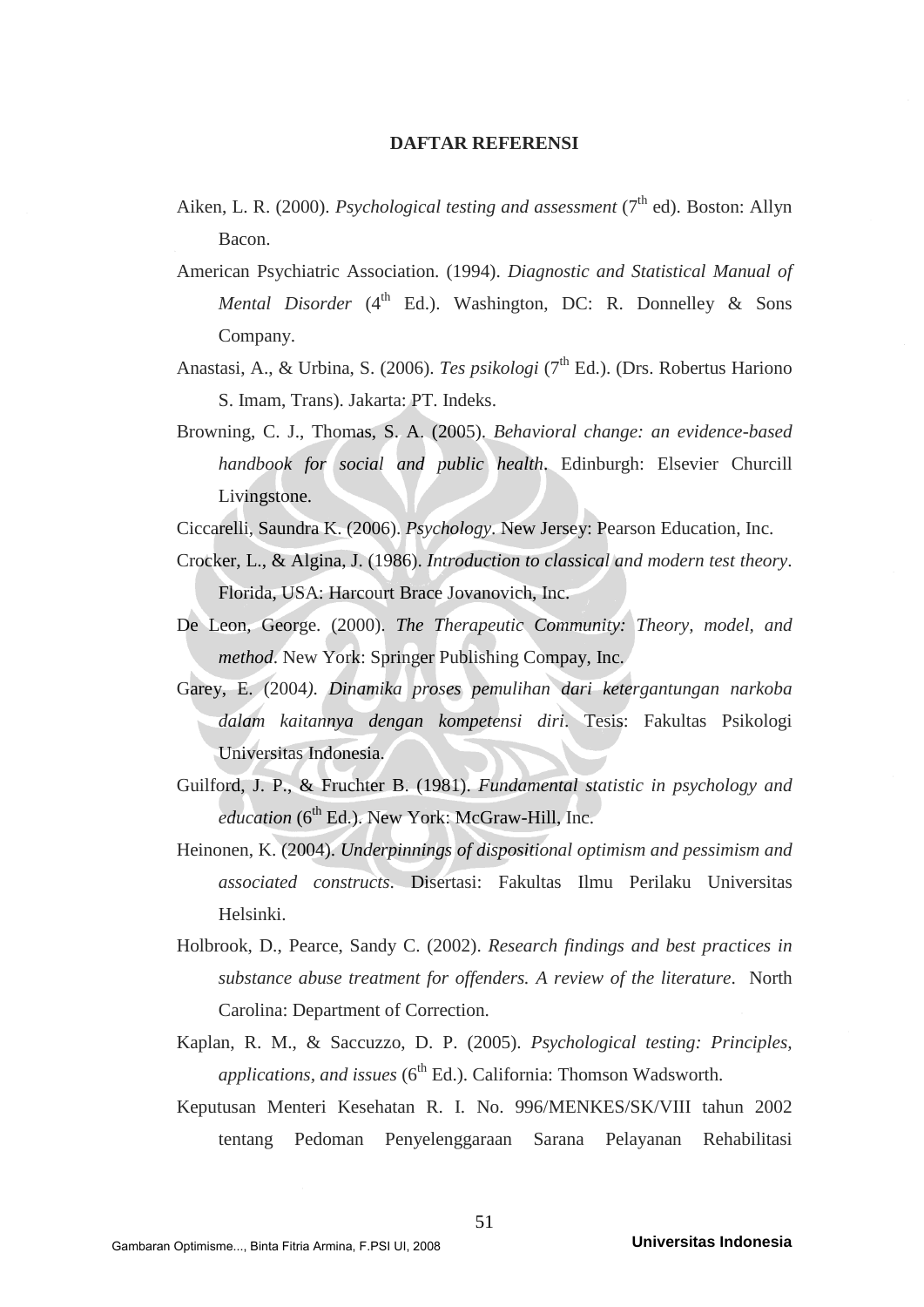## **DAFTAR REFERENSI**

- Aiken, L. R. (2000). *Psychological testing and assessment* (7<sup>th</sup> ed). Boston: Allyn Bacon.
- American Psychiatric Association. (1994). *Diagnostic and Statistical Manual of Mental Disorder* ( $4^{\text{th}}$  Ed.). Washington, DC: R. Donnelley & Sons Company.
- Anastasi, A., & Urbina, S. (2006). *Tes psikologi* (7<sup>th</sup> Ed.). (Drs. Robertus Hariono S. Imam, Trans). Jakarta: PT. Indeks.
- Browning, C. J., Thomas, S. A. (2005). *Behavioral change: an evidence-based handbook for social and public health*. Edinburgh: Elsevier Churcill Livingstone.
- Ciccarelli, Saundra K. (2006). *Psychology*. New Jersey: Pearson Education, Inc.
- Crocker, L., & Algina, J. (1986). *Introduction to classical and modern test theory*. Florida, USA: Harcourt Brace Jovanovich, Inc.
- De Leon, George. (2000). *The Therapeutic Community: Theory, model, and method*. New York: Springer Publishing Compay, Inc.
- Garey, E. (2004*). Dinamika proses pemulihan dari ketergantungan narkoba dalam kaitannya dengan kompetensi diri*. Tesis: Fakultas Psikologi Universitas Indonesia.
- Guilford, J. P., & Fruchter B. (1981). *Fundamental statistic in psychology and education* (6<sup>th</sup> Ed.). New York: McGraw-Hill, Inc.
- Heinonen, K. (2004). *Underpinnings of dispositional optimism and pessimism and associated constructs*. Disertasi: Fakultas Ilmu Perilaku Universitas Helsinki.
- Holbrook, D., Pearce, Sandy C. (2002). *Research findings and best practices in substance abuse treatment for offenders. A review of the literature*. North Carolina: Department of Correction.
- Kaplan, R. M., & Saccuzzo, D. P. (2005). *Psychological testing: Principles, applications, and issues* (6<sup>th</sup> Ed.). California: Thomson Wadsworth.
- Keputusan Menteri Kesehatan R. I. No. 996/MENKES/SK/VIII tahun 2002 tentang Pedoman Penyelenggaraan Sarana Pelayanan Rehabilitasi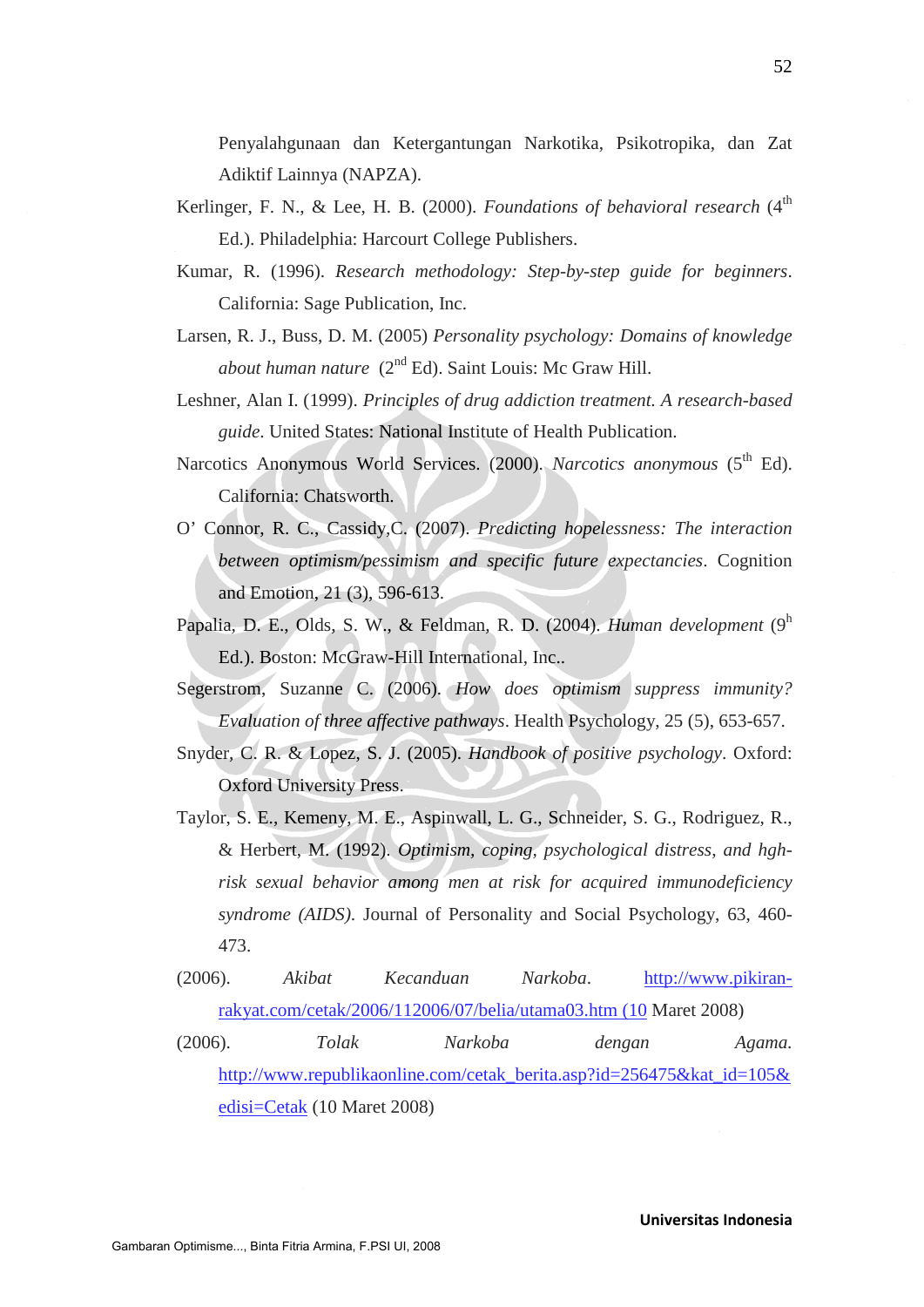Penyalahgunaan dan Ketergantungan Narkotika, Psikotropika, dan Zat Adiktif Lainnya (NAPZA).

- Kerlinger, F. N., & Lee, H. B. (2000). *Foundations of behavioral research* (4<sup>th</sup>) Ed.). Philadelphia: Harcourt College Publishers.
- Kumar, R. (1996). *Research methodology: Step-by-step guide for beginners*. California: Sage Publication, Inc.
- Larsen, R. J., Buss, D. M. (2005) *Personality psychology: Domains of knowledge about human nature* (2<sup>nd</sup> Ed). Saint Louis: Mc Graw Hill.
- Leshner, Alan I. (1999). *Principles of drug addiction treatment. A research-based guide*. United States: National Institute of Health Publication.
- Narcotics Anonymous World Services. (2000). *Narcotics anonymous* (5<sup>th</sup> Ed). California: Chatsworth.
- O' Connor, R. C., Cassidy,C. (2007). *Predicting hopelessness: The interaction between optimism/pessimism and specific future expectancies*. Cognition and Emotion, 21 (3), 596-613.
- Papalia, D. E., Olds, S. W., & Feldman, R. D. (2004). *Human development* (9h Ed.). Boston: McGraw-Hill International, Inc..
- Segerstrom, Suzanne C. (2006). *How does optimism suppress immunity? Evaluation of three affective pathways*. Health Psychology, 25 (5), 653-657.
- Snyder, C. R. & Lopez, S. J. (2005). *Handbook of positive psychology*. Oxford: Oxford University Press.
- Taylor, S. E., Kemeny, M. E., Aspinwall, L. G., Schneider, S. G., Rodriguez, R., & Herbert, M. (1992). *Optimism, coping, psychological distress, and hghrisk sexual behavior among men at risk for acquired immunodeficiency syndrome (AIDS)*. Journal of Personality and Social Psychology, 63, 460- 473.
- (2006). *Akibat Kecanduan Narkoba*. http://www.pikiranrakyat.com/cetak/2006/112006/07/belia/utama03.htm (10 Maret 2008) (2006). *Tolak Narkoba dengan Agama.* http://www.republikaonline.com/cetak\_berita.asp?id=256475&kat\_id=105& edisi=Cetak (10 Maret 2008)